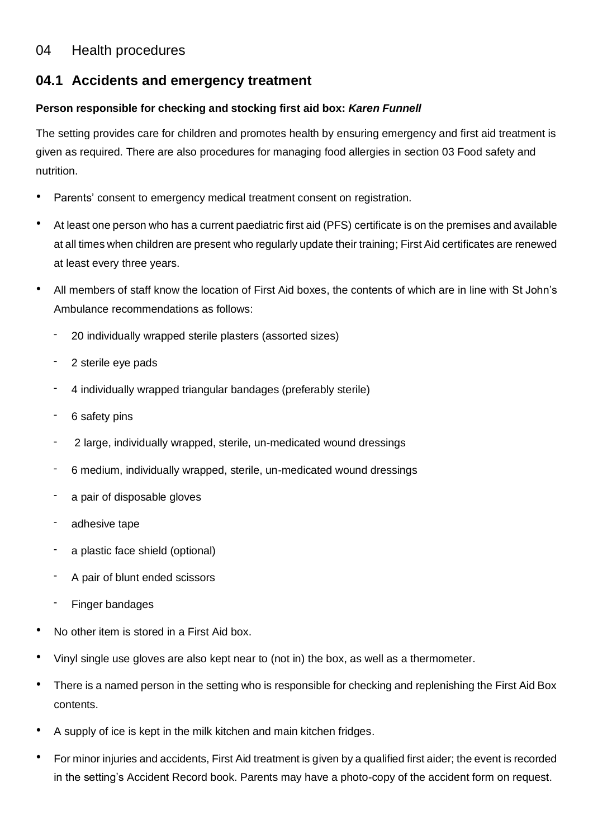# 04 Health procedures

# **04.1 Accidents and emergency treatment**

### **Person responsible for checking and stocking first aid box:** *Karen Funnell*

The setting provides care for children and promotes health by ensuring emergency and first aid treatment is given as required. There are also procedures for managing food allergies in section 03 Food safety and nutrition.

- Parents' consent to emergency medical treatment consent on registration.
- At least one person who has a current paediatric first aid (PFS) certificate is on the premises and available at all times when children are present who regularly update their training; First Aid certificates are renewed at least every three years.
- All members of staff know the location of First Aid boxes, the contents of which are in line with St John's Ambulance recommendations as follows:
	- 20 individually wrapped sterile plasters (assorted sizes)
	- 2 sterile eye pads
	- 4 individually wrapped triangular bandages (preferably sterile)
	- 6 safety pins
	- 2 large, individually wrapped, sterile, un-medicated wound dressings
	- 6 medium, individually wrapped, sterile, un-medicated wound dressings
	- a pair of disposable gloves
	- adhesive tape
	- a plastic face shield (optional)
	- A pair of blunt ended scissors
	- Finger bandages
- No other item is stored in a First Aid box.
- Vinyl single use gloves are also kept near to (not in) the box, as well as a thermometer.
- There is a named person in the setting who is responsible for checking and replenishing the First Aid Box contents.
- A supply of ice is kept in the milk kitchen and main kitchen fridges.
- For minor injuries and accidents, First Aid treatment is given by a qualified first aider; the event is recorded in the setting's Accident Record book. Parents may have a photo-copy of the accident form on request.